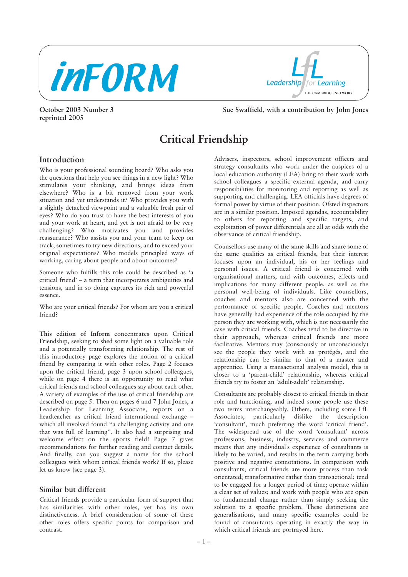

**reprinted 2005**

*Leadership for Learning LL* **THE CAMBRIDGE NETWORK**

**October 2003 Number 3** Sue Swaffield, with a contribution by John Jones

# **Critical Friendship**

# **Introduction**

Who is your professional sounding board? Who asks you the questions that help you see things in a new light? Who stimulates your thinking, and brings ideas from elsewhere? Who is a bit removed from your work situation and yet understands it? Who provides you with a slightly detached viewpoint and a valuable fresh pair of eyes? Who do you trust to have the best interests of you and your work at heart, and yet is not afraid to be very challenging? Who motivates you and provides reassurance? Who assists you and your team to keep on track, sometimes to try new directions, and to exceed your original expectations? Who models principled ways of working, caring about people and about outcomes?

Someone who fulfills this role could be described as 'a critical friend' – a term that incorporates ambiguities and tensions, and in so doing captures its rich and powerful essence.

Who are your critical friends? For whom are you a critical friend?

**This edition of Inform** concentrates upon Critical Friendship, seeking to shed some light on a valuable role and a potentially transforming relationship. The rest of this introductory page explores the notion of a critical friend by comparing it with other roles. Page 2 focuses upon the critical friend, page 3 upon school colleagues, while on page 4 there is an opportunity to read what critical friends and school colleagues say about each other. A variety of examples of the use of critical friendship are described on page 5. Then on pages 6 and 7 John Jones, a Leadership for Learning Associate, reports on a headteacher as critical friend international exchange – which all involved found "a challenging activity and one that was full of learning". It also had a surprising and welcome effect on the sports field! Page 7 gives recommendations for further reading and contact details. And finally, can you suggest a name for the school colleagues with whom critical friends work? If so, please let us know (see page 3).

## **Similar but different**

Critical friends provide a particular form of support that has similarities with other roles, yet has its own distinctiveness. A brief consideration of some of these other roles offers specific points for comparison and contrast.

Advisers, inspectors, school improvement officers and strategy consultants who work under the auspices of a local education authority (LEA) bring to their work with school colleagues a specific external agenda, and carry responsibilities for monitoring and reporting as well as supporting and challenging. LEA officials have degrees of formal power by virtue of their position. Ofsted inspectors are in a similar position. Imposed agendas, accountability to others for reporting and specific targets, and exploitation of power differentials are all at odds with the observance of critical friendship.

Counsellors use many of the same skills and share some of the same qualities as critical friends, but their interest focuses upon an individual, his or her feelings and personal issues. A critical friend is concerned with organisational matters, and with outcomes, effects and implications for many different people, as well as the personal well-being of individuals. Like counsellors, coaches and mentors also are concerned with the performance of specific people. Coaches and mentors have generally had experience of the role occupied by the person they are working with, which is not necessarily the case with critical friends. Coaches tend to be directive in their approach, whereas critical friends are more facilitative. Mentors may (consciously or unconsciously) see the people they work with as protégés, and the relationship can be similar to that of a master and apprentice. Using a transactional analysis model, this is closer to a 'parent-child' relationship, whereas critical friends try to foster an 'adult-adult' relationship.

Consultants are probably closest to critical friends in their role and functioning, and indeed some people use these two terms interchangeably. Others, including some LfL Associates, particularly dislike the description 'consultant', much preferring the word 'critical friend'. The widespread use of the word 'consultant' across professions, business, industry, services and commerce means that any individual's experience of consultants is likely to be varied, and results in the term carrying both positive and negative connotations. In comparison with consultants, critical friends are more process than task orientated; transformative rather than transactional; tend to be engaged for a longer period of time; operate within a clear set of values; and work with people who are open to fundamental change rather than simply seeking the solution to a specific problem. These distinctions are generalisations, and many specific examples could be found of consultants operating in exactly the way in which critical friends are portrayed here.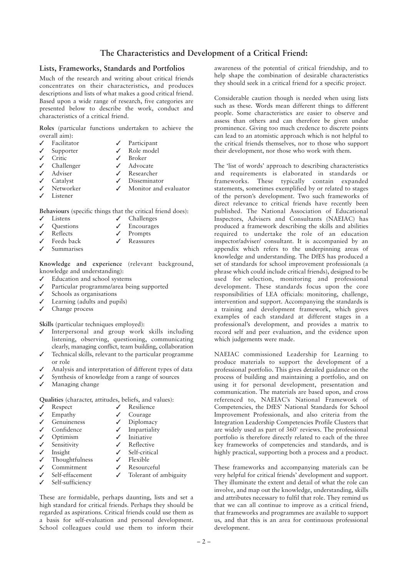# **The Characteristics and Development of a Critical Friend:**

#### **Lists, Frameworks, Standards and Portfolios**

Much of the research and writing about critical friends concentrates on their characteristics, and produces descriptions and lists of what makes a good critical friend. Based upon a wide range of research, five categories are presented below to describe the work, conduct and characteristics of a critical friend.

**Roles** (particular functions undertaken to achieve the overall aim):

| $\checkmark$ Facilitator | $\sqrt{}$ Participant     |
|--------------------------|---------------------------|
| $\checkmark$ Supporter   | $\checkmark$ Role model   |
| $\checkmark$ Critic      | $\checkmark$ Broker       |
| $\checkmark$ Challenger  | $\checkmark$ Advocate     |
| $\checkmark$ Adviser     | $\checkmark$ Researcher   |
| $\checkmark$ Catalyst    | $\checkmark$ Disseminator |
| V Networker              | ✔ Monitor and evaluator   |
| $\checkmark$ Listener    |                           |
|                          |                           |

**Behaviours** (specific things that the critical friend does):

- ✓ Listens ✓ Challenges
- Questions **✓** Encourages<br>Reflects **✓** Prompts ✓ Reflects ✓ Prompts
- ✓ Feeds back ✓ Reassures
- ✓ Summarises

**Knowledge and experience** (relevant background, knowledge and understanding):

- ✓ Education and school systems
- ✓ Particular programme/area being supported
- ✓ Schools as organisations
- ✓ Learning (adults and pupils)
- ✓ Change process

**Skills** (particular techniques employed):

- ✓ Interpersonal and group work skills including listening, observing, questioning, communicating clearly, managing conflict, team building, collaboration
- ✓ Technical skills, relevant to the particular programme or role
- Analysis and interpretation of different types of data
- ✓ Synthesis of knowledge from a range of sources
- Managing change

**Qualities** (character, attitudes, beliefs, and values):

| ✓            | Respect                       | Resilience                 |
|--------------|-------------------------------|----------------------------|
|              | $\checkmark$ Empathy          | Courage                    |
| $\checkmark$ | Genuineness                   | Diplomacy                  |
|              | $\checkmark$ Confidence       | $\checkmark$ Impartiality  |
|              | $\sqrt{\phantom{a}}$ Optimism | $\checkmark$ Initiative    |
|              | $\checkmark$ Sensitivity      | $\checkmark$ Reflective    |
|              | $\checkmark$ Insight          | $\checkmark$ Self-critical |
|              | $\checkmark$ Thoughtfulness   | Flexible                   |
|              | $\checkmark$ Commitment       | $\checkmark$ Resourceful   |

- 
- Self-sufficiency

Self-effacement **✓** Tolerant of ambiguity

These are formidable, perhaps daunting, lists and set a high standard for critical friends. Perhaps they should be regarded as aspirations. Critical friends could use them as a basis for self-evaluation and personal development. School colleagues could use them to inform their

awareness of the potential of critical friendship, and to help shape the combination of desirable characteristics they should seek in a critical friend for a specific project.

Considerable caution though is needed when using lists such as these. Words mean different things to different people. Some characteristics are easier to observe and assess than others and can therefore be given undue prominence. Giving too much credence to discrete points can lead to an atomistic approach which is not helpful to the critical friends themselves, nor to those who support their development, nor those who work with them.

The 'list of words' approach to describing characteristics and requirements is elaborated in standards or frameworks. These typically contain expanded statements, sometimes exemplified by or related to stages of the person's development. Two such frameworks of direct relevance to critical friends have recently been published. The National Association of Educational Inspectors, Advisers and Consultants (NAEIAC) has produced a framework describing the skills and abilities required to undertake the role of an education inspector/adviser/ consultant. It is accompanied by an appendix which refers to the underpinning areas of knowledge and understanding. The DfES has produced a set of standards for school improvement professionals (a phrase which could include critical friends), designed to be used for selection, monitoring and professional development. These standards focus upon the core responsibilities of LEA officials: monitoring, challenge, intervention and support. Accompanying the standards is a training and development framework, which gives examples of each standard at different stages in a professional's development, and provides a matrix to record self and peer evaluation, and the evidence upon which judgements were made.

NAEIAC commissioned Leadership for Learning to produce materials to support the development of a professional portfolio. This gives detailed guidance on the process of building and maintaining a portfolio, and on using it for personal development, presentation and communication. The materials are based upon, and cross referenced to, NAEIAC's National Framework of Competencies, the DfES' National Standards for School Improvement Professionals, and also criteria from the Integration Leadership Competencies Profile Clusters that are widely used as part of 360˚ reviews. The professional portfolio is therefore directly related to each of the three key frameworks of competencies and standards, and is highly practical, supporting both a process and a product.

These frameworks and accompanying materials can be very helpful for critical friends' development and support. They illuminate the extent and detail of what the role can involve, and map out the knowledge, understanding, skills and attributes necessary to fulfil that role. They remind us that we can all continue to improve as a critical friend, that frameworks and programmes are available to support us, and that this is an area for continuous professional development.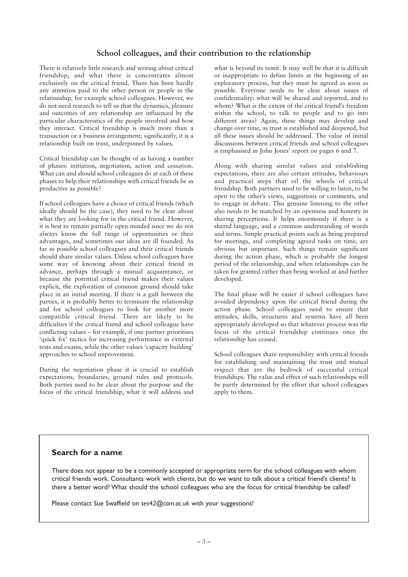# **School colleagues, and their contribution to the relationship**

There is relatively little research and writing about critical friendship, and what there is concentrates almost exclusively on the critical friend. There has been hardly any attention paid to the other person or people in the relationship, for example school colleagues. However, we do not need research to tell us that the dynamics, pleasure and outcomes of any relationship are influenced by the particular characteristics of the people involved and how they interact. Critical friendship is much more than a transaction or a business arrangement; significantly, it is a relationship built on trust, underpinned by values.

Critical friendship can be thought of as having a number of phases: initiation, negotiation, action and cessation. What can and should school colleagues do at each of these phases to help their relationships with critical friends be as productive as possible?

If school colleagues have a choice of critical friends (which ideally should be the case), they need to be clear about what they are looking for in the critical friend. However, it is best to remain partially open minded since we do not always know the full range of opportunities or their advantages, and sometimes our ideas are ill founded. As far as possible school colleagues and their critical friends should share similar values. Unless school colleagues have some way of knowing about their critical friend in advance, perhaps through a mutual acquaintance, or because the potential critical friend makes their values explicit, the exploration of common ground should take place in an initial meeting. If there is a gulf between the parties, it is probably better to terminate the relationship and for school colleagues to look for another more compatible critical friend. There are likely to be difficulties if the critical friend and school colleague have conflicting values – for example, if one partner prioritises 'quick fix' tactics for increasing performance in external tests and exams, while the other values 'capacity building' approaches to school improvement.

During the negotiation phase it is crucial to establish expectations, boundaries, ground rules and protocols. Both parties need to be clear about the purpose and the focus of the critical friendship, what it will address and

what is beyond its remit. It may well be that it is difficult or inappropriate to define limits at the beginning of an exploratory process, but they must be agreed as soon as possible. Everyone needs to be clear about issues of confidentiality: what will be shared and reported, and to whom? What is the extent of the critical friend's freedom within the school, to talk to people and to go into different areas? Again, these things may develop and change over time, as trust is established and deepened, but all these issues should be addressed. The value of initial discussions between critical friends and school colleagues is emphasised in John Jones' report on pages 6 and 7.

Along with sharing similar values and establishing expectations, there are also certain attitudes, behaviours and practical steps that oil the wheels of critical friendship. Both partners need to be willing to listen, to be open to the other's views, suggestions or comments, and to engage in debate. This genuine listening to the other also needs to be matched by an openness and honesty in sharing perceptions. It helps enormously if there is a shared language, and a common understanding of words and terms. Simple practical points such as being prepared for meetings, and completing agreed tasks on time, are obvious but important. Such things remain significant during the action phase, which is probably the longest period of the relationship, and when relationships can be taken for granted rather than being worked at and further developed.

The final phase will be easier if school colleagues have avoided dependency upon the critical friend during the action phase. School colleagues need to ensure that attitudes, skills, structures and systems have all been appropriately developed so that whatever process was the focus of the critical friendship continues once the relationship has ceased.

School colleagues share responsibility with critical friends for establishing and maintaining the trust and mutual respect that are the bedrock of successful critical friendships. The value and effect of such relationships will be partly determined by the effort that school colleagues apply to them.

# **Search for a name**

There does not appear to be a commonly accepted or appropriate term for the school colleagues with whom critical friends work. Consultants work with clients, but do we want to talk about a critical friend's clients? Is there a better word? What should the school colleagues who are the focus for critical friendship be called?

Please contact Sue Swaffield on *ses42@cam.ac.uk* with your suggestions!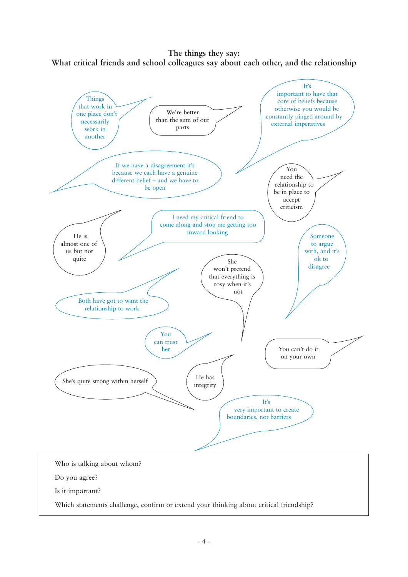**The things they say: What critical friends and school colleagues say about each other, and the relationship**

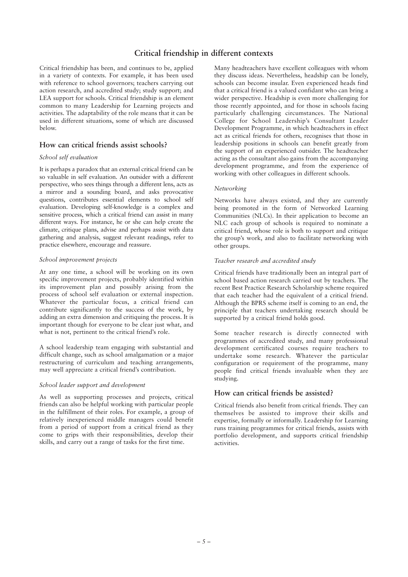# **Critical friendship in different contexts**

Critical friendship has been, and continues to be, applied in a variety of contexts. For example, it has been used with reference to school governors; teachers carrying out action research, and accredited study; study support; and LEA support for schools. Critical friendship is an element common to many Leadership for Learning projects and activities. The adaptability of the role means that it can be used in different situations, some of which are discussed below.

## **How can critical friends assist schools?**

#### *School self evaluation*

It is perhaps a paradox that an external critical friend can be so valuable in self evaluation. An outsider with a different perspective, who sees things through a different lens, acts as a mirror and a sounding board, and asks provocative questions, contributes essential elements to school self evaluation. Developing self-knowledge is a complex and sensitive process, which a critical friend can assist in many different ways. For instance, he or she can help create the climate, critique plans, advise and perhaps assist with data gathering and analysis, suggest relevant readings, refer to practice elsewhere, encourage and reassure.

#### *School improvement projects*

At any one time, a school will be working on its own specific improvement projects, probably identified within its improvement plan and possibly arising from the process of school self evaluation or external inspection. Whatever the particular focus, a critical friend can contribute significantly to the success of the work, by adding an extra dimension and critiquing the process. It is important though for everyone to be clear just what, and what is not, pertinent to the critical friend's role.

A school leadership team engaging with substantial and difficult change, such as school amalgamation or a major restructuring of curriculum and teaching arrangements, may well appreciate a critical friend's contribution.

#### *School leader support and development*

As well as supporting processes and projects, critical friends can also be helpful working with particular people in the fulfillment of their roles. For example, a group of relatively inexperienced middle managers could benefit from a period of support from a critical friend as they come to grips with their responsibilities, develop their skills, and carry out a range of tasks for the first time.

Many headteachers have excellent colleagues with whom they discuss ideas. Nevertheless, headship can be lonely, schools can become insular. Even experienced heads find that a critical friend is a valued confidant who can bring a wider perspective. Headship is even more challenging for those recently appointed, and for those in schools facing particularly challenging circumstances. The National College for School Leadership's Consultant Leader Development Programme, in which headteachers in effect act as critical friends for others, recognises that those in leadership positions in schools can benefit greatly from the support of an experienced outsider. The headteacher acting as the consultant also gains from the accompanying development programme, and from the experience of working with other colleagues in different schools.

#### *Networking*

Networks have always existed, and they are currently being promoted in the form of Networked Learning Communities (NLCs). In their application to become an NLC each group of schools is required to nominate a critical friend, whose role is both to support and critique the group's work, and also to facilitate networking with other groups.

#### *Teacher research and accredited study*

Critical friends have traditionally been an integral part of school based action research carried out by teachers. The recent Best Practice Research Scholarship scheme required that each teacher had the equivalent of a critical friend. Although the BPRS scheme itself is coming to an end, the principle that teachers undertaking research should be supported by a critical friend holds good.

Some teacher research is directly connected with programmes of accredited study, and many professional development certificated courses require teachers to undertake some research. Whatever the particular configuration or requirement of the programme, many people find critical friends invaluable when they are studying.

## **How can critical friends be assisted?**

Critical friends also benefit from critical friends. They can themselves be assisted to improve their skills and expertise, formally or informally. Leadership for Learning runs training programmes for critical friends, assists with portfolio development, and supports critical friendship activities.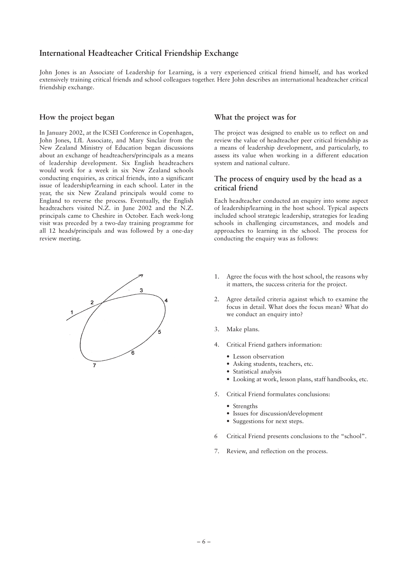# **International Headteacher Critical Friendship Exchange**

John Jones is an Associate of Leadership for Learning, is a very experienced critical friend himself, and has worked extensively training critical friends and school colleagues together. Here John describes an international headteacher critical friendship exchange.

#### **How the project began**

In January 2002, at the ICSEI Conference in Copenhagen, John Jones, LfL Associate, and Mary Sinclair from the New Zealand Ministry of Education began discussions about an exchange of headteachers/principals as a means of leadership development. Six English headteachers would work for a week in six New Zealand schools conducting enquiries, as critical friends, into a significant issue of leadership/learning in each school. Later in the year, the six New Zealand principals would come to England to reverse the process. Eventually, the English headteachers visited N.Z. in June 2002 and the N.Z. principals came to Cheshire in October. Each week-long visit was preceded by a two-day training programme for all 12 heads/principals and was followed by a one-day review meeting.



#### **What the project was for**

The project was designed to enable us to reflect on and review the value of headteacher peer critical friendship as a means of leadership development, and particularly, to assess its value when working in a different education system and national culture.

### **The process of enquiry used by the head as a critical friend**

Each headteacher conducted an enquiry into some aspect of leadership/learning in the host school. Typical aspects included school strategic leadership, strategies for leading schools in challenging circumstances, and models and approaches to learning in the school. The process for conducting the enquiry was as follows:

- 1. Agree the focus with the host school, the reasons why it matters, the success criteria for the project.
- 2. Agree detailed criteria against which to examine the focus in detail. What does the focus mean? What do we conduct an enquiry into?
- 3. Make plans.
- 4. Critical Friend gathers information:
	- Lesson observation
	- Asking students, teachers, etc.
	- Statistical analysis
	- Looking at work, lesson plans, staff handbooks, etc.
- 5. Critical Friend formulates conclusions:
	- Strengths
	- Issues for discussion/development
	- Suggestions for next steps.
- 6 Critical Friend presents conclusions to the "school".
- 7. Review, and reflection on the process.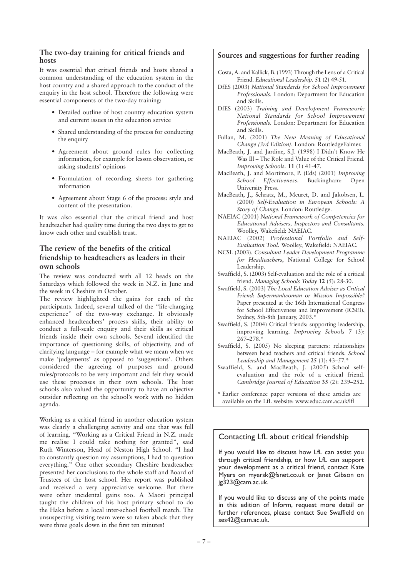#### **The two-day training for critical friends and hosts**

It was essential that critical friends and hosts shared a common understanding of the education system in the host country and a shared approach to the conduct of the enquiry in the host school. Therefore the following were essential components of the two-day training:

- Detailed outline of host country education system and current issues in the education service
- Shared understanding of the process for conducting the enquiry
- Agreement about ground rules for collecting information, for example for lesson observation, or asking students' opinions
- Formulation of recording sheets for gathering information
- Agreement about Stage 6 of the process: style and content of the presentation.

It was also essential that the critical friend and host headteacher had quality time during the two days to get to know each other and establish trust.

## **The review of the benefits of the critical friendship to headteachers as leaders in their own schools**

The review was conducted with all 12 heads on the Saturdays which followed the week in N.Z. in June and the week in Cheshire in October.

The review highlighted the gains for each of the participants. Indeed, several talked of the "life-changing experience" of the two-way exchange. It obviously enhanced headteachers' process skills, their ability to conduct a full-scale enquiry and their skills as critical friends inside their own schools. Several identified the importance of questioning skills, of objectivity, and of clarifying language – for example what we mean when we make 'judgements' as opposed to 'suggestions'. Others considered the agreeing of purposes and ground rules/protocols to be very important and felt they would use these processes in their own schools. The host schools also valued the opportunity to have an objective outsider reflecting on the school's work with no hidden agenda.

Working as a critical friend in another education system was clearly a challenging activity and one that was full of learning. "Working as a Critical Friend in N.Z. made me realise I could take nothing for granted", said Ruth Winterson, Head of Neston High School. "I had to constantly question my assumptions, I had to question everything." One other secondary Cheshire headteacher presented her conclusions to the whole staff and Board of Trustees of the host school. Her report was published and received a very appreciative welcome. But there were other incidental gains too. A Maori principal taught the children of his host primary school to do the Haka before a local inter-school football match. The unsuspecting visiting team were so taken aback that they were three goals down in the first ten minutes!

## **Sources and suggestions for further reading**

- Costa, A. and Kallick, B. (1993) Through the Lens of a Critical Friend. *Educational Leadership.* **51** (2) 49-51.
- DfES (2003) *National Standards for School Improvement Professionals.* London: Department for Education and Skills.
- DfES (2003) *Training and Development Framework: National Standards for School Improvement Professionals.* London: Department for Education and Skills.
- Fullan, M. (2001) *The New Meaning of Educational Change (3rd Edition)*. London: RoutledgeFalmer.
- MacBeath, J. and Jardine, S.J. (1998) I Didn't Know He Was Ill – The Role and Value of the Critical Friend. *Improving Schools.* **11** (1) 41-47.
- MacBeath, J. and Mortimore, P. (Eds) (2001) *Improving School Effectiveness.* Buckingham: Open University Press.
- MacBeath, J., Schratz, M., Meuret, D. and Jakobsen, L. (2000) *Self-Evaluation in European Schools: A Story of Change.* London: Routledge.
- NAEIAC (2001) *National Framework of Competencies for Educational Advisers, Inspectors and Consultants.* Woolley, Wakefield: NAEIAC.
- NAEIAC (2002) *Professional Portfolio and Self-Evaluation Tool.* Woolley, Wakefield: NAEIAC.
- NCSL (2003). *Consultant Leader Development Programme for Headteachers*, National College for School Leadership.
- Swaffield, S. (2003) Self-evaluation and the role of a critical friend. *Managing Schools Today* **12** (5): 28-30.
- Swaffield, S. (2003) *The Local Education Adviser as Critical Friend: Superman/woman or Mission Impossible?* Paper presented at the 16th International Congress for School Effectiveness and Improvement (ICSEI), Sydney, 5th-8th January, 2003.\*
- Swaffield, S. (2004) Critical friends: supporting leadership, improving learning. *Improving Schools* **7** (3):  $267 - 278.$ <sup>\*</sup>
- Swaffield, S. (2005) No sleeping partners: relationships between head teachers and critical friends. *School Leadership and Management* **25** (1): 43–57.\*
- Swaffield, S. and MacBeath, J. (2005) School selfevaluation and the role of a critical friend. *Cambridge Journal of Education* **35** (2): 239–252.
- \* Earlier conference paper versions of these articles are available on the LfL website: www.educ.cam.ac.uk/lfl

# Contacting LfL about critical friendship

If you would like to discuss how LfL can assist you through critical friendship, or how LfL can support your development as a critical friend, contact Kate Myers on myersk@fsnet.co.uk or Janet Gibson on jg323@cam.ac.uk.

If you would like to discuss any of the points made in this edition of Inform, request more detail or further references, please contact Sue Swaffield on ses42@cam.ac.uk.